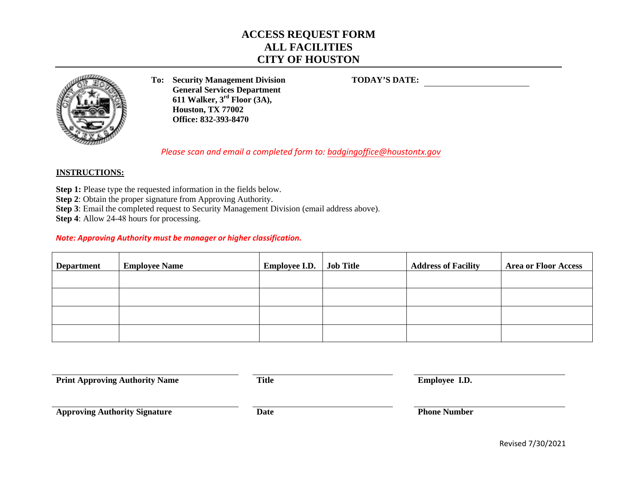# **ACCESS REQUEST FORM ALL FACILITIES CITY OF HOUSTON**



**To: Security Management Division General Services Department 611 Walker, 3rd Floor (3A), Houston, TX 77002 Office: 832-393-8470**

**TODAY'S DATE:**

*Please scan and email a completed form to: [badgingoffice](mailto:badgingoffice@houstontx.gov)@houstontx.gov* 

## **INSTRUCTIONS:**

**Step 1:** Please type the requested information in the fields below.

**Step 2**: Obtain the proper signature from Approving Authority.

**Step 3**: Email the completed request to Security Management Division (email address above).

**Step 4**: Allow 24-48 hours for processing.

### *Note: Approving Authority must be manager or higher classification.*

| <b>Department</b> | <b>Employee Name</b> | <b>Employee I.D.</b> | <b>Job Title</b> | <b>Address of Facility</b> | <b>Area or Floor Access</b> |
|-------------------|----------------------|----------------------|------------------|----------------------------|-----------------------------|
|                   |                      |                      |                  |                            |                             |
|                   |                      |                      |                  |                            |                             |
|                   |                      |                      |                  |                            |                             |
|                   |                      |                      |                  |                            |                             |

|  | <b>Print Approving Authority Name</b> |
|--|---------------------------------------|
|--|---------------------------------------|

**Prime Authority Name Authority Name Authority Name Authority Name Authority Name Authority Name Authority Name Authority Name Authority Name Authority Name Authority Name Authority Name Authority Name Authority Name Autho** 

**Approving Authority Signature Date Date Phone Number** 

Revised 7/30/2021